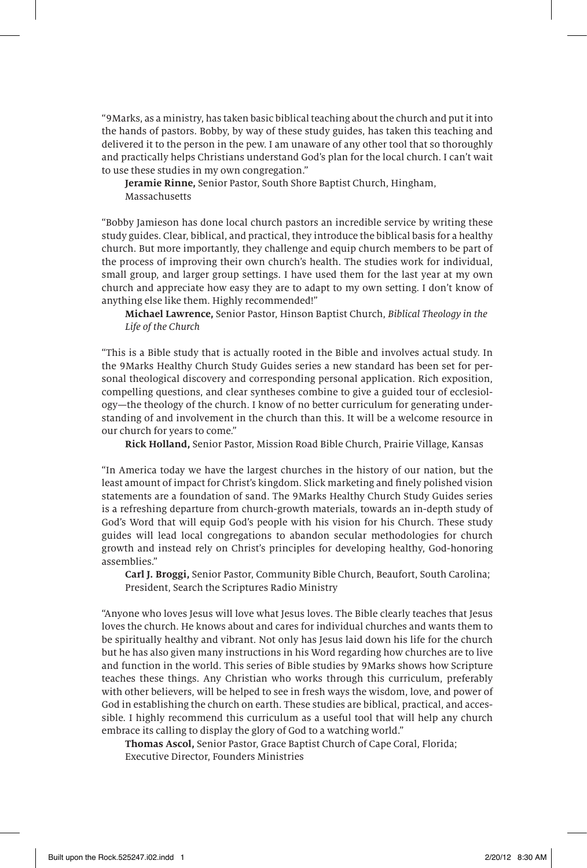"9Marks, as a ministry, has taken basic biblical teaching about the church and put it into the hands of pastors. Bobby, by way of these study guides, has taken this teaching and delivered it to the person in the pew. I am unaware of any other tool that so thoroughly and practically helps Christians understand God's plan for the local church. I can't wait to use these studies in my own congregation."

**Jeramie Rinne,** Senior Pastor, South Shore Baptist Church, Hingham, Massachusetts

"Bobby Jamieson has done local church pastors an incredible service by writing these study guides. Clear, biblical, and practical, they introduce the biblical basis for a healthy church. But more importantly, they challenge and equip church members to be part of the process of improving their own church's health. The studies work for individual, small group, and larger group settings. I have used them for the last year at my own church and appreciate how easy they are to adapt to my own setting. I don't know of anything else like them. Highly recommended!"

**Michael Lawrence,** Senior Pastor, Hinson Baptist Church, Biblical Theology in the Life of the Church

"This is a Bible study that is actually rooted in the Bible and involves actual study. In the 9Marks Healthy Church Study Guides series a new standard has been set for personal theological discovery and corresponding personal application. Rich exposition, compelling questions, and clear syntheses combine to give a guided tour of ecclesiology—the theology of the church. I know of no better curriculum for generating understanding of and involvement in the church than this. It will be a welcome resource in our church for years to come."

**Rick Holland,** Senior Pastor, Mission Road Bible Church, Prairie Village, Kansas

"In America today we have the largest churches in the history of our nation, but the least amount of impact for Christ's kingdom. Slick marketing and finely polished vision statements are a foundation of sand. The 9Marks Healthy Church Study Guides series is a refreshing departure from church-growth materials, towards an in-depth study of God's Word that will equip God's people with his vision for his Church. These study guides will lead local congregations to abandon secular methodologies for church growth and instead rely on Christ's principles for developing healthy, God-honoring assemblies."

**Carl J. Broggi,** Senior Pastor, Community Bible Church, Beaufort, South Carolina; President, Search the Scriptures Radio Ministry

"Anyone who loves Jesus will love what Jesus loves. The Bible clearly teaches that Jesus loves the church. He knows about and cares for individual churches and wants them to be spiritually healthy and vibrant. Not only has Jesus laid down his life for the church but he has also given many instructions in his Word regarding how churches are to live and function in the world. This series of Bible studies by 9Marks shows how Scripture teaches these things. Any Christian who works through this curriculum, preferably with other believers, will be helped to see in fresh ways the wisdom, love, and power of God in establishing the church on earth. These studies are biblical, practical, and accessible. I highly recommend this curriculum as a useful tool that will help any church embrace its calling to display the glory of God to a watching world."

**Thomas Ascol,** Senior Pastor, Grace Baptist Church of Cape Coral, Florida; Executive Director, Founders Ministries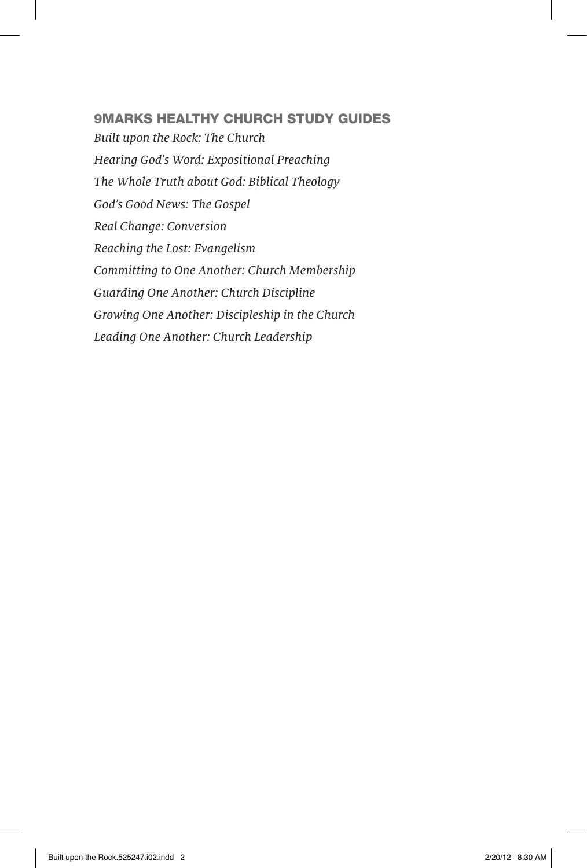### 9MARKS HEALTHY CHURCH STUDY GUIDES

Built upon the Rock: The Church Hearing God's Word: Expositional Preaching The Whole Truth about God: Biblical Theology God's Good News: The Gospel Real Change: Conversion Reaching the Lost: Evangelism Committing to One Another: Church Membership Guarding One Another: Church Discipline Growing One Another: Discipleship in the Church Leading One Another: Church Leadership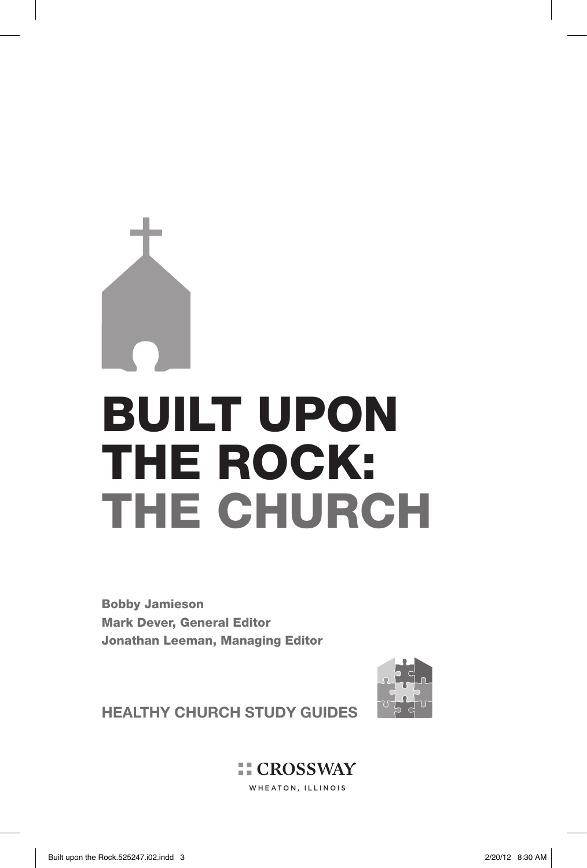# BUILT UPON THE ROCK: THE CHURCH

Bobby Jamieson Mark Dever, General Editor Jonathan Leeman, Managing Editor



**HEALTHY CHURCH STUDY GUIDES**

**EL CROSSWAY** WHEATON, ILLINOIS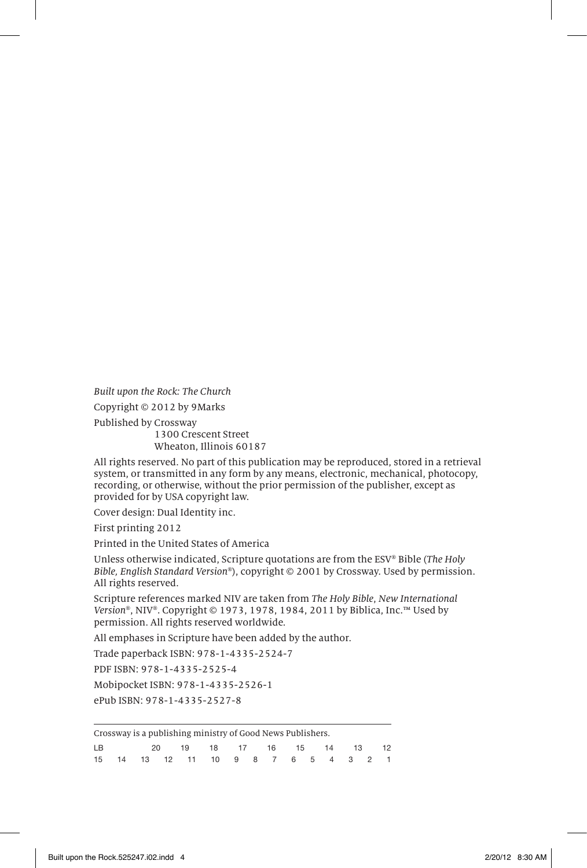Built upon the Rock: The Church

Copyright © 2012 by 9Marks

Published by Crossway

1300 Crescent Street Wheaton, Illinois 60187

All rights reserved. No part of this publication may be reproduced, stored in a retrieval system, or transmitted in any form by any means, electronic, mechanical, photocopy, recording, or otherwise, without the prior permission of the publisher, except as provided for by USA copyright law.

Cover design: Dual Identity inc.

First printing 2012

Printed in the United States of America

Unless otherwise indicated, Scripture quotations are from the ESV® Bible (The Holy Bible, English Standard Version®), copyright © 2001 by Crossway. Used by permission. All rights reserved.

Scripture references marked NIV are taken from The Holy Bible, New International Version®, NIV®. Copyright © 1973, 1978, 1984, 2011 by Biblica, Inc.™ Used by permission. All rights reserved worldwide.

All emphases in Scripture have been added by the author.

Trade paperback ISBN: 978-1-4335-2524-7

PDF ISBN: 978-1-4335-2525-4

Mobipocket ISBN: 978-1-4335-2526-1 ePub ISBN: 978-1-4335-2527-8

Crossway is a publishing ministry of Good News Publishers.

| LB . |  | 20 19 18 17 16 15 14 13 12                        |  |  |  |  |  |
|------|--|---------------------------------------------------|--|--|--|--|--|
|      |  | 15  14  13  12  11  10  9  8  7  6  5  4  3  2  1 |  |  |  |  |  |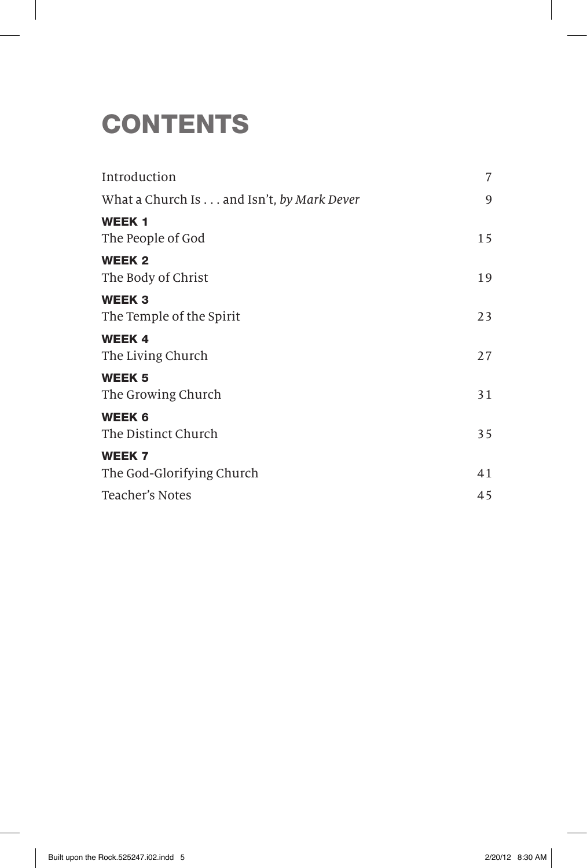## **CONTENTS**

| Introduction                               | 7  |
|--------------------------------------------|----|
| What a Church Is and Isn't, by Mark Dever  | 9  |
| <b>WEEK1</b><br>The People of God          | 15 |
| <b>WEEK 2</b><br>The Body of Christ        | 19 |
| <b>WEEK3</b><br>The Temple of the Spirit   | 23 |
| <b>WEEK4</b><br>The Living Church          | 27 |
| <b>WEEK 5</b><br>The Growing Church        | 31 |
| <b>WEEK 6</b><br>The Distinct Church       | 35 |
| <b>WEEK 7</b><br>The God-Glorifying Church | 41 |
| Teacher's Notes                            | 45 |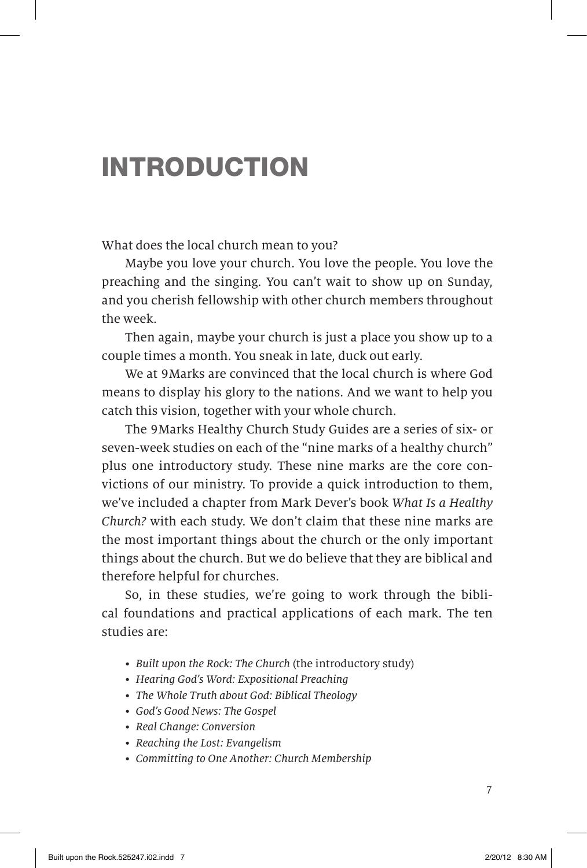### INTRODUCTION

What does the local church mean to you?

Maybe you love your church. You love the people. You love the preaching and the singing. You can't wait to show up on Sunday, and you cherish fellowship with other church members throughout the week.

Then again, maybe your church is just a place you show up to a couple times a month. You sneak in late, duck out early.

We at 9Marks are convinced that the local church is where God means to display his glory to the nations. And we want to help you catch this vision, together with your whole church.

The 9Marks Healthy Church Study Guides are a series of six- or seven-week studies on each of the "nine marks of a healthy church" plus one introductory study. These nine marks are the core convictions of our ministry. To provide a quick introduction to them, we've included a chapter from Mark Dever's book What Is a Healthy Church? with each study. We don't claim that these nine marks are the most important things about the church or the only important things about the church. But we do believe that they are biblical and therefore helpful for churches.

So, in these studies, we're going to work through the biblical foundations and practical applications of each mark. The ten studies are:

- Built upon the Rock: The Church (the introductory study)
- Hearing God's Word: Expositional Preaching
- The Whole Truth about God: Biblical Theology
- God's Good News: The Gospel
- Real Change: Conversion
- Reaching the Lost: Evangelism
- Committing to One Another: Church Membership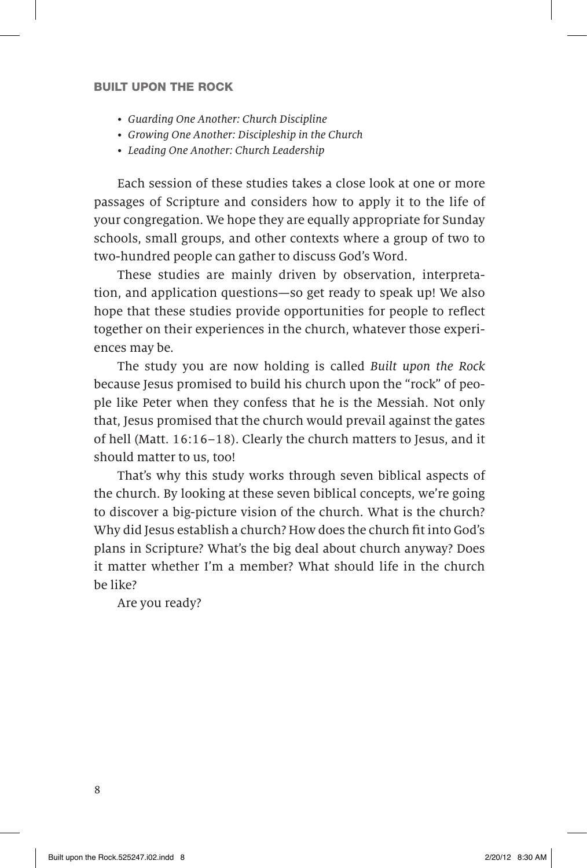- Guarding One Another: Church Discipline
- Growing One Another: Discipleship in the Church
- Leading One Another: Church Leadership

Each session of these studies takes a close look at one or more passages of Scripture and considers how to apply it to the life of your congregation. We hope they are equally appropriate for Sunday schools, small groups, and other contexts where a group of two to two-hundred people can gather to discuss God's Word.

These studies are mainly driven by observation, interpretation, and application questions—so get ready to speak up! We also hope that these studies provide opportunities for people to reflect together on their experiences in the church, whatever those experiences may be.

The study you are now holding is called Built upon the Rock because Jesus promised to build his church upon the "rock" of people like Peter when they confess that he is the Messiah. Not only that, Jesus promised that the church would prevail against the gates of hell (Matt. 16:16–18). Clearly the church matters to Jesus, and it should matter to us, too!

That's why this study works through seven biblical aspects of the church. By looking at these seven biblical concepts, we're going to discover a big-picture vision of the church. What is the church? Why did Jesus establish a church? How does the church fit into God's plans in Scripture? What's the big deal about church anyway? Does it matter whether I'm a member? What should life in the church be like?

Are you ready?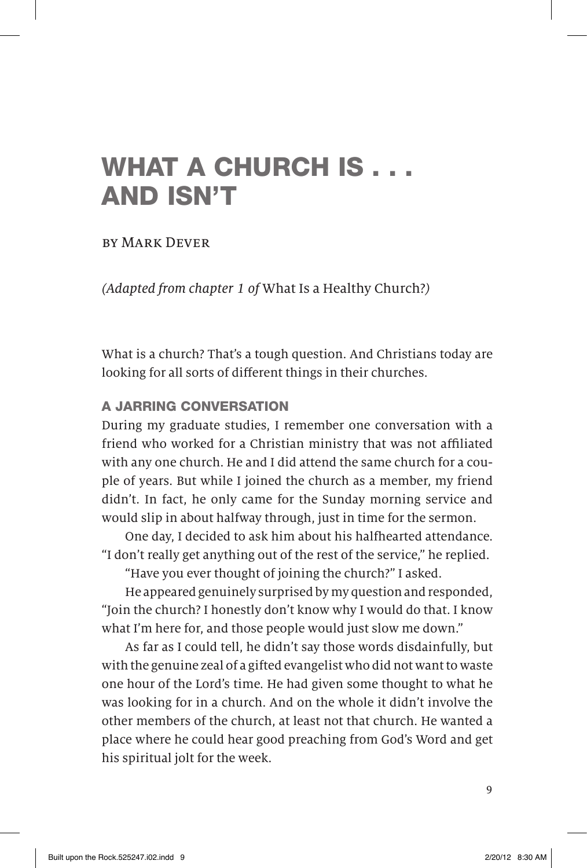## WHAT A CHURCH IS . . . AND ISN'T

### by Mark Dever

(Adapted from chapter 1 of What Is a Healthy Church?)

What is a church? That's a tough question. And Christians today are looking for all sorts of different things in their churches.

### A JARRING CONVERSATION

During my graduate studies, I remember one conversation with a friend who worked for a Christian ministry that was not affiliated with any one church. He and I did attend the same church for a couple of years. But while I joined the church as a member, my friend didn't. In fact, he only came for the Sunday morning service and would slip in about halfway through, just in time for the sermon.

One day, I decided to ask him about his halfhearted attendance. "I don't really get anything out of the rest of the service," he replied.

"Have you ever thought of joining the church?" I asked.

He appeared genuinely surprised by my question and responded, "Join the church? I honestly don't know why I would do that. I know what I'm here for, and those people would just slow me down."

As far as I could tell, he didn't say those words disdainfully, but with the genuine zeal of a gifted evangelist who did not want to waste one hour of the Lord's time. He had given some thought to what he was looking for in a church. And on the whole it didn't involve the other members of the church, at least not that church. He wanted a place where he could hear good preaching from God's Word and get his spiritual jolt for the week.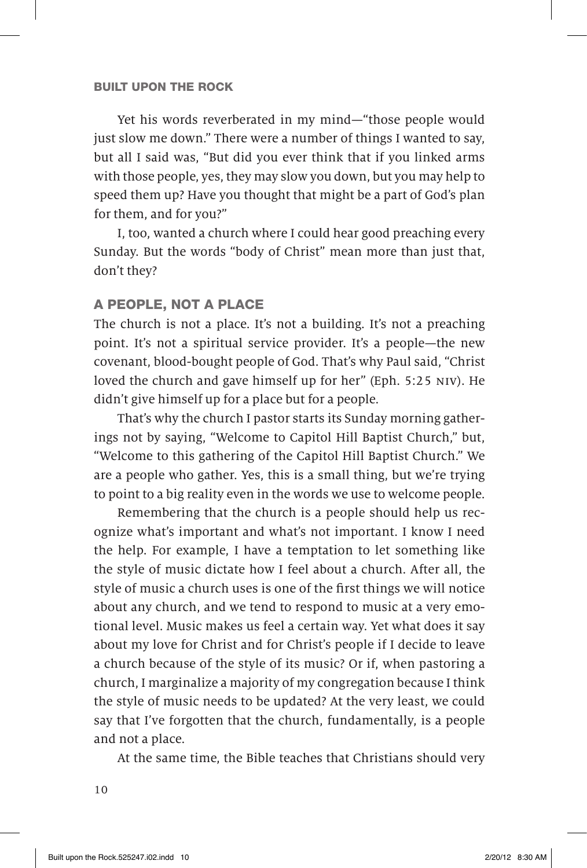Yet his words reverberated in my mind—"those people would just slow me down." There were a number of things I wanted to say, but all I said was, "But did you ever think that if you linked arms with those people, yes, they may slow you down, but you may help to speed them up? Have you thought that might be a part of God's plan for them, and for you?"

I, too, wanted a church where I could hear good preaching every Sunday. But the words "body of Christ" mean more than just that, don't they?

### A PEOPLE, NOT A PLACE

The church is not a place. It's not a building. It's not a preaching point. It's not a spiritual service provider. It's a people—the new covenant, blood-bought people of God. That's why Paul said, "Christ loved the church and gave himself up for her" (Eph. 5:25 niv). He didn't give himself up for a place but for a people.

That's why the church I pastor starts its Sunday morning gatherings not by saying, "Welcome to Capitol Hill Baptist Church," but, "Welcome to this gathering of the Capitol Hill Baptist Church." We are a people who gather. Yes, this is a small thing, but we're trying to point to a big reality even in the words we use to welcome people.

Remembering that the church is a people should help us recognize what's important and what's not important. I know I need the help. For example, I have a temptation to let something like the style of music dictate how I feel about a church. After all, the style of music a church uses is one of the first things we will notice about any church, and we tend to respond to music at a very emotional level. Music makes us feel a certain way. Yet what does it say about my love for Christ and for Christ's people if I decide to leave a church because of the style of its music? Or if, when pastoring a church, I marginalize a majority of my congregation because I think the style of music needs to be updated? At the very least, we could say that I've forgotten that the church, fundamentally, is a people and not a place.

At the same time, the Bible teaches that Christians should very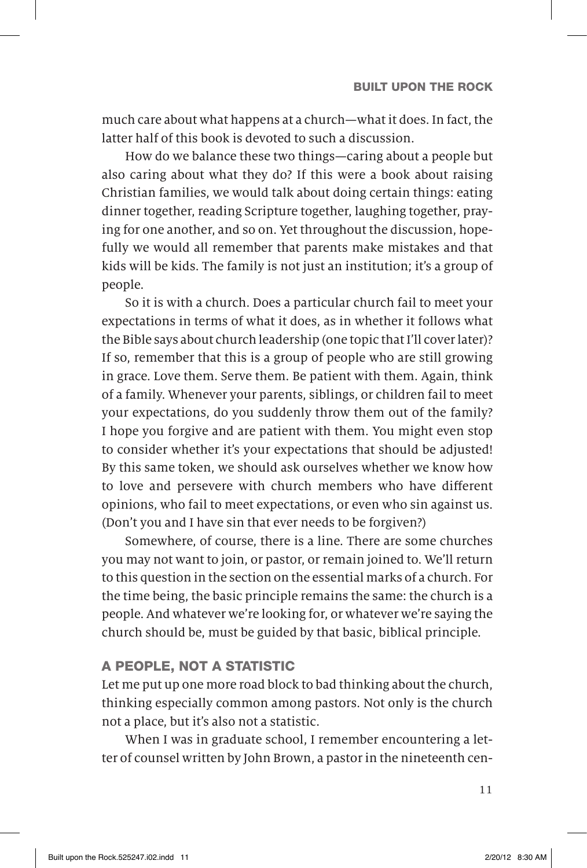much care about what happens at a church—what it does. In fact, the latter half of this book is devoted to such a discussion.

How do we balance these two things—caring about a people but also caring about what they do? If this were a book about raising Christian families, we would talk about doing certain things: eating dinner together, reading Scripture together, laughing together, praying for one another, and so on. Yet throughout the discussion, hopefully we would all remember that parents make mistakes and that kids will be kids. The family is not just an institution; it's a group of people.

So it is with a church. Does a particular church fail to meet your expectations in terms of what it does, as in whether it follows what the Bible says about church leadership (one topic that I'll cover later)? If so, remember that this is a group of people who are still growing in grace. Love them. Serve them. Be patient with them. Again, think of a family. Whenever your parents, siblings, or children fail to meet your expectations, do you suddenly throw them out of the family? I hope you forgive and are patient with them. You might even stop to consider whether it's your expectations that should be adjusted! By this same token, we should ask ourselves whether we know how to love and persevere with church members who have different opinions, who fail to meet expectations, or even who sin against us. (Don't you and I have sin that ever needs to be forgiven?)

Somewhere, of course, there is a line. There are some churches you may not want to join, or pastor, or remain joined to. We'll return to this question in the section on the essential marks of a church. For the time being, the basic principle remains the same: the church is a people. And whatever we're looking for, or whatever we're saying the church should be, must be guided by that basic, biblical principle.

### A PEOPLE, NOT A STATISTIC

Let me put up one more road block to bad thinking about the church, thinking especially common among pastors. Not only is the church not a place, but it's also not a statistic.

When I was in graduate school, I remember encountering a letter of counsel written by John Brown, a pastor in the nineteenth cen-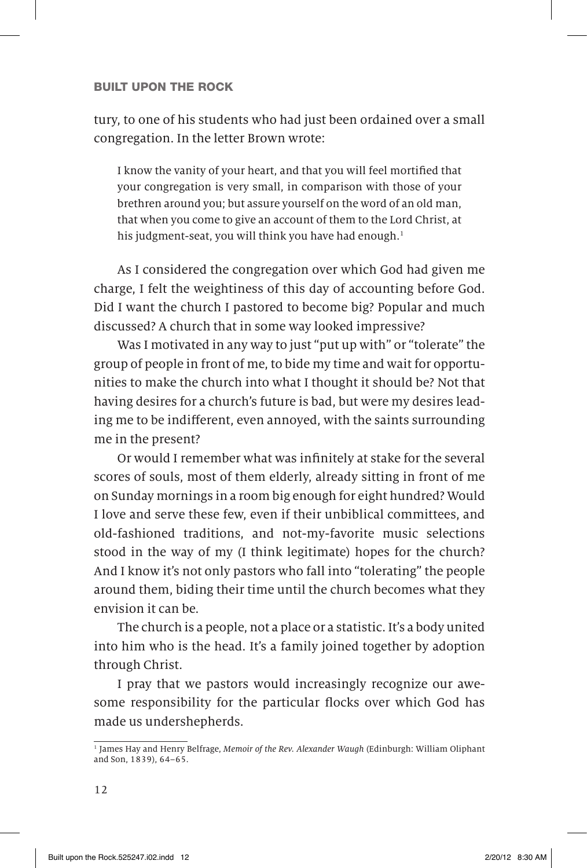tury, to one of his students who had just been ordained over a small congregation. In the letter Brown wrote:

I know the vanity of your heart, and that you will feel mortified that your congregation is very small, in comparison with those of your brethren around you; but assure yourself on the word of an old man, that when you come to give an account of them to the Lord Christ, at his judgment-seat, you will think you have had enough.<sup>1</sup>

As I considered the congregation over which God had given me charge, I felt the weightiness of this day of accounting before God. Did I want the church I pastored to become big? Popular and much discussed? A church that in some way looked impressive?

Was I motivated in any way to just "put up with" or "tolerate" the group of people in front of me, to bide my time and wait for opportunities to make the church into what I thought it should be? Not that having desires for a church's future is bad, but were my desires leading me to be indifferent, even annoyed, with the saints surrounding me in the present?

Or would I remember what was infinitely at stake for the several scores of souls, most of them elderly, already sitting in front of me on Sunday mornings in a room big enough for eight hundred? Would I love and serve these few, even if their unbiblical committees, and old-fashioned traditions, and not-my-favorite music selections stood in the way of my (I think legitimate) hopes for the church? And I know it's not only pastors who fall into "tolerating" the people around them, biding their time until the church becomes what they envision it can be.

The church is a people, not a place or a statistic. It's a body united into him who is the head. It's a family joined together by adoption through Christ.

I pray that we pastors would increasingly recognize our awesome responsibility for the particular flocks over which God has made us undershepherds.

<sup>&</sup>lt;sup>1</sup> James Hay and Henry Belfrage, Memoir of the Rev. Alexander Waugh (Edinburgh: William Oliphant and Son, 1839), 64–65.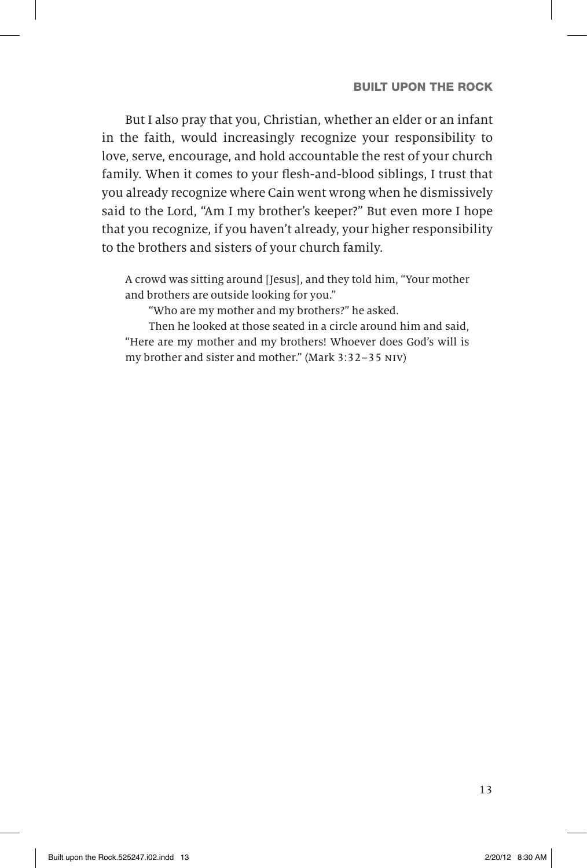But I also pray that you, Christian, whether an elder or an infant in the faith, would increasingly recognize your responsibility to love, serve, encourage, and hold accountable the rest of your church family. When it comes to your flesh-and-blood siblings, I trust that you already recognize where Cain went wrong when he dismissively said to the Lord, "Am I my brother's keeper?" But even more I hope that you recognize, if you haven't already, your higher responsibility to the brothers and sisters of your church family.

A crowd was sitting around [Jesus], and they told him, "Your mother and brothers are outside looking for you."

"Who are my mother and my brothers?" he asked.

Then he looked at those seated in a circle around him and said, "Here are my mother and my brothers! Whoever does God's will is my brother and sister and mother." (Mark 3:32–35 niv)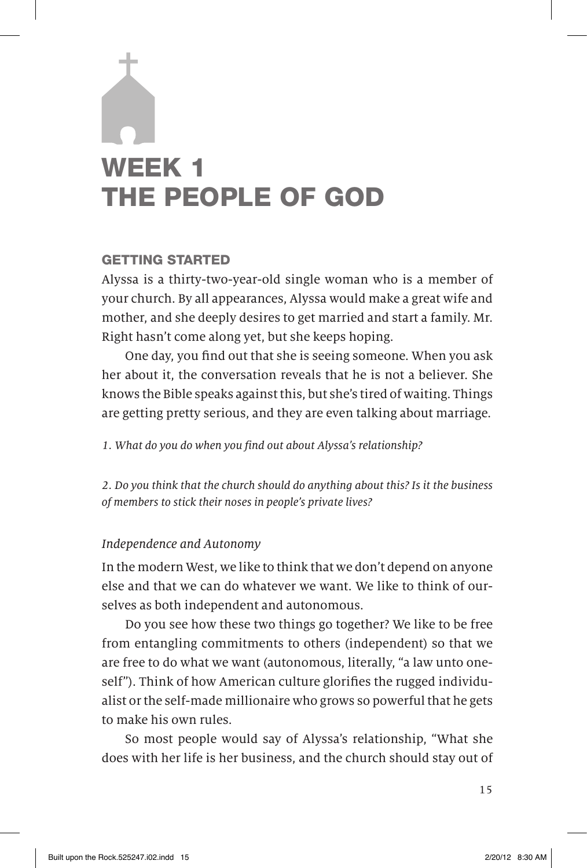## WEEK 1 THE PEOPLE OF GOD

### GETTING STARTED

Alyssa is a thirty-two-year-old single woman who is a member of your church. By all appearances, Alyssa would make a great wife and mother, and she deeply desires to get married and start a family. Mr. Right hasn't come along yet, but she keeps hoping.

One day, you find out that she is seeing someone. When you ask her about it, the conversation reveals that he is not a believer. She knows the Bible speaks against this, but she's tired of waiting. Things are getting pretty serious, and they are even talking about marriage.

1. What do you do when you find out about Alyssa's relationship?

2. Do you think that the church should do anything about this? Is it the business of members to stick their noses in people's private lives?

### Independence and Autonomy

In the modern West, we like to think that we don't depend on anyone else and that we can do whatever we want. We like to think of ourselves as both independent and autonomous.

Do you see how these two things go together? We like to be free from entangling commitments to others (independent) so that we are free to do what we want (autonomous, literally, "a law unto oneself"). Think of how American culture glorifies the rugged individualist or the self-made millionaire who grows so powerful that he gets to make his own rules.

So most people would say of Alyssa's relationship, "What she does with her life is her business, and the church should stay out of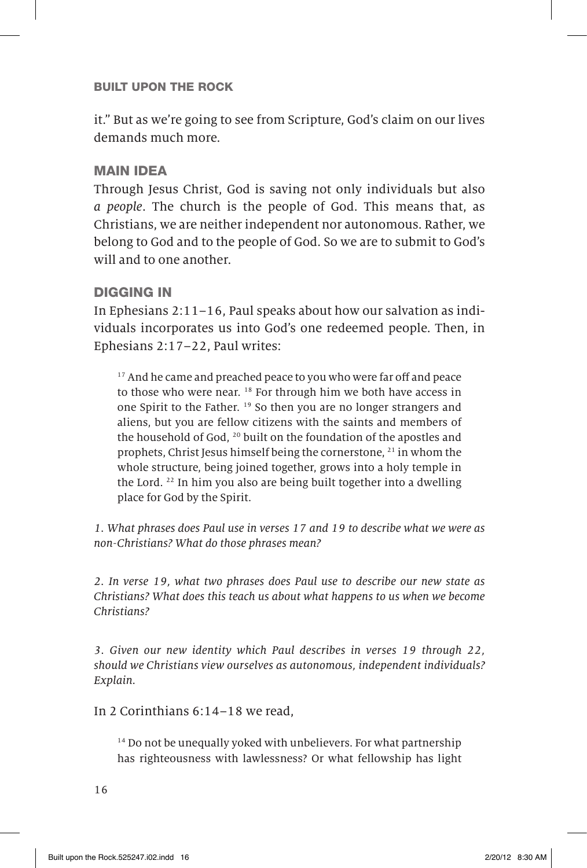it." But as we're going to see from Scripture, God's claim on our lives demands much more.

### MAIN IDEA

Through Jesus Christ, God is saving not only individuals but also a people. The church is the people of God. This means that, as Christians, we are neither independent nor autonomous. Rather, we belong to God and to the people of God. So we are to submit to God's will and to one another.

### DIGGING IN

In Ephesians 2:11–16, Paul speaks about how our salvation as individuals incorporates us into God's one redeemed people. Then, in Ephesians 2:17–22, Paul writes:

<sup>17</sup> And he came and preached peace to you who were far off and peace to those who were near. <sup>18</sup> For through him we both have access in one Spirit to the Father. <sup>19</sup> So then you are no longer strangers and aliens, but you are fellow citizens with the saints and members of the household of God, <sup>20</sup> built on the foundation of the apostles and prophets, Christ Jesus himself being the cornerstone, <sup>21</sup> in whom the whole structure, being joined together, grows into a holy temple in the Lord. <sup>22</sup> In him you also are being built together into a dwelling place for God by the Spirit.

1. What phrases does Paul use in verses 17 and 19 to describe what we were as non-Christians? What do those phrases mean?

2. In verse 19, what two phrases does Paul use to describe our new state as Christians? What does this teach us about what happens to us when we become Christians?

3. Given our new identity which Paul describes in verses 19 through 22, should we Christians view ourselves as autonomous, independent individuals? Explain.

In 2 Corinthians 6:14–18 we read,

 $14$  Do not be unequally yoked with unbelievers. For what partnership has righteousness with lawlessness? Or what fellowship has light

16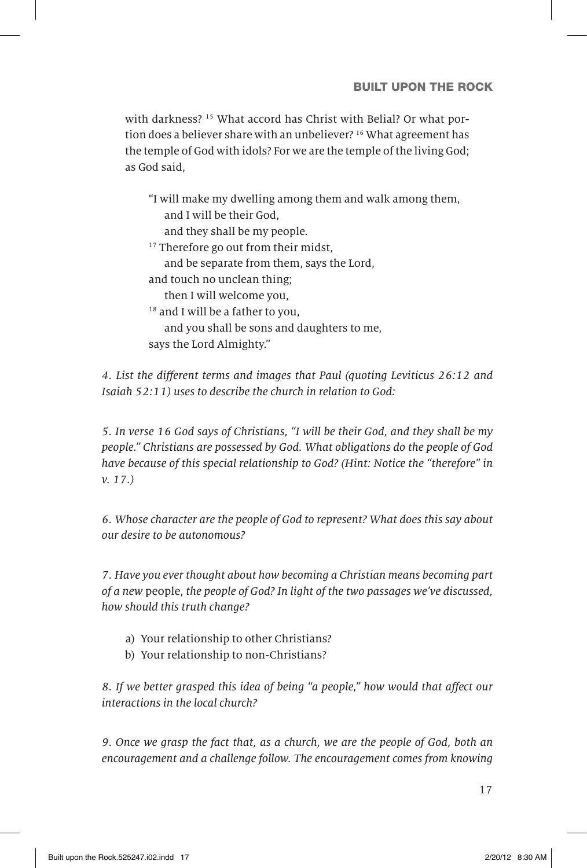with darkness?<sup>15</sup> What accord has Christ with Belial? Or what portion does a believer share with an unbeliever? <sup>16</sup> What agreement has the temple of God with idols? For we are the temple of the living God; as God said,

| "I will make my dwelling among them and walk among them, |  |
|----------------------------------------------------------|--|
| and I will be their God,                                 |  |
| and they shall be my people.                             |  |
| <sup>17</sup> Therefore go out from their midst,         |  |
| and be separate from them, says the Lord,                |  |
| and touch no unclean thing;                              |  |
| then I will welcome you,                                 |  |
| <sup>18</sup> and I will be a father to you,             |  |
| and you shall be sons and daughters to me.               |  |
| says the Lord Almighty."                                 |  |
|                                                          |  |

4. List the different terms and images that Paul (quoting Leviticus 26:12 and Isaiah 52:11) uses to describe the church in relation to God:

5. In verse 16 God says of Christians, "I will be their God, and they shall be my people." Christians are possessed by God. What obligations do the people of God have because of this special relationship to God? (Hint: Notice the "therefore" in v. 17.)

6. Whose character are the people of God to represent? What does this say about our desire to be autonomous?

7. Have you ever thought about how becoming a Christian means becoming part of a new people, the people of God? In light of the two passages we've discussed, how should this truth change?

- a) Your relationship to other Christians?
- b) Your relationship to non-Christians?

8. If we better grasped this idea of being "a people," how would that affect our interactions in the local church?

9. Once we grasp the fact that, as a church, we are the people of God, both an encouragement and a challenge follow. The encouragement comes from knowing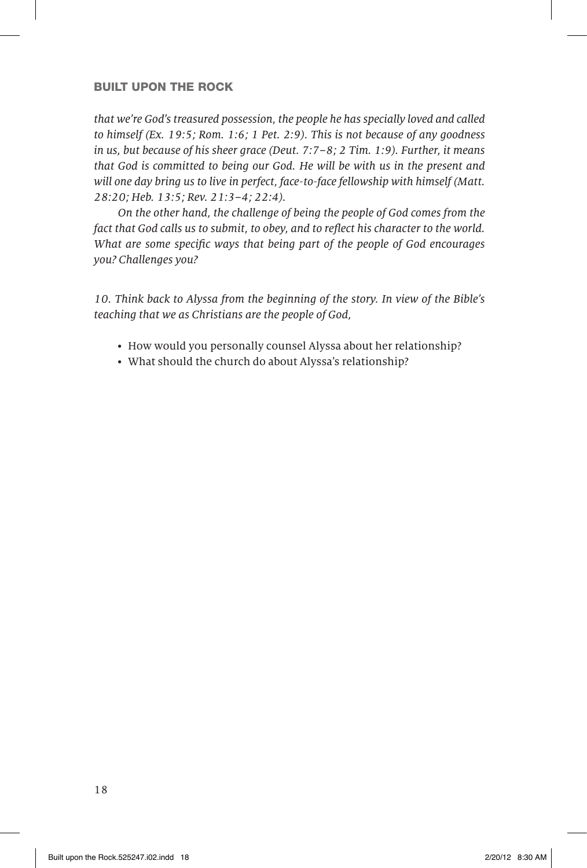that we're God's treasured possession, the people he has specially loved and called to himself (Ex. 19:5; Rom. 1:6; 1 Pet. 2:9). This is not because of any goodness in us, but because of his sheer grace (Deut. 7:7–8; 2 Tim. 1:9). Further, it means that God is committed to being our God. He will be with us in the present and will one day bring us to live in perfect, face-to-face fellowship with himself (Matt. 28:20; Heb. 13:5; Rev. 21:3–4; 22:4).

 On the other hand, the challenge of being the people of God comes from the fact that God calls us to submit, to obey, and to reflect his character to the world. What are some specific ways that being part of the people of God encourages you? Challenges you?

10. Think back to Alyssa from the beginning of the story. In view of the Bible's teaching that we as Christians are the people of God,

- How would you personally counsel Alyssa about her relationship?
- What should the church do about Alyssa's relationship?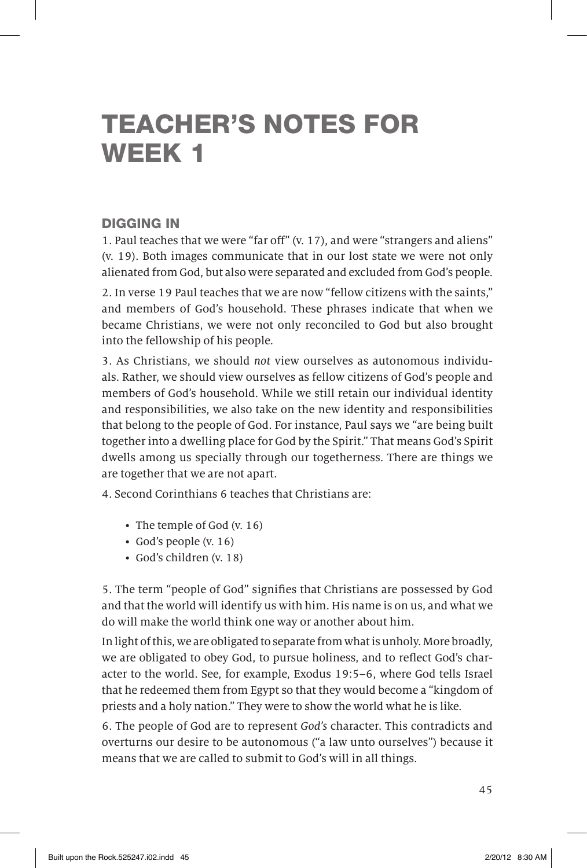## TEACHER'S NOTES FOR WEEK 1

### DIGGING IN

1. Paul teaches that we were "far off" (v. 17), and were "strangers and aliens" (v. 19). Both images communicate that in our lost state we were not only alienated from God, but also were separated and excluded from God's people.

2. In verse 19 Paul teaches that we are now "fellow citizens with the saints," and members of God's household. These phrases indicate that when we became Christians, we were not only reconciled to God but also brought into the fellowship of his people.

3. As Christians, we should not view ourselves as autonomous individuals. Rather, we should view ourselves as fellow citizens of God's people and members of God's household. While we still retain our individual identity and responsibilities, we also take on the new identity and responsibilities that belong to the people of God. For instance, Paul says we "are being built together into a dwelling place for God by the Spirit." That means God's Spirit dwells among us specially through our togetherness. There are things we are together that we are not apart.

4. Second Corinthians 6 teaches that Christians are:

- The temple of God  $(v. 16)$
- God's people (v. 16)
- God's children (v. 18)

5. The term "people of God" signifies that Christians are possessed by God and that the world will identify us with him. His name is on us, and what we do will make the world think one way or another about him.

In light of this, we are obligated to separate from what is unholy. More broadly, we are obligated to obey God, to pursue holiness, and to reflect God's character to the world. See, for example, Exodus 19:5–6, where God tells Israel that he redeemed them from Egypt so that they would become a "kingdom of priests and a holy nation." They were to show the world what he is like.

6. The people of God are to represent God's character. This contradicts and overturns our desire to be autonomous ("a law unto ourselves") because it means that we are called to submit to God's will in all things.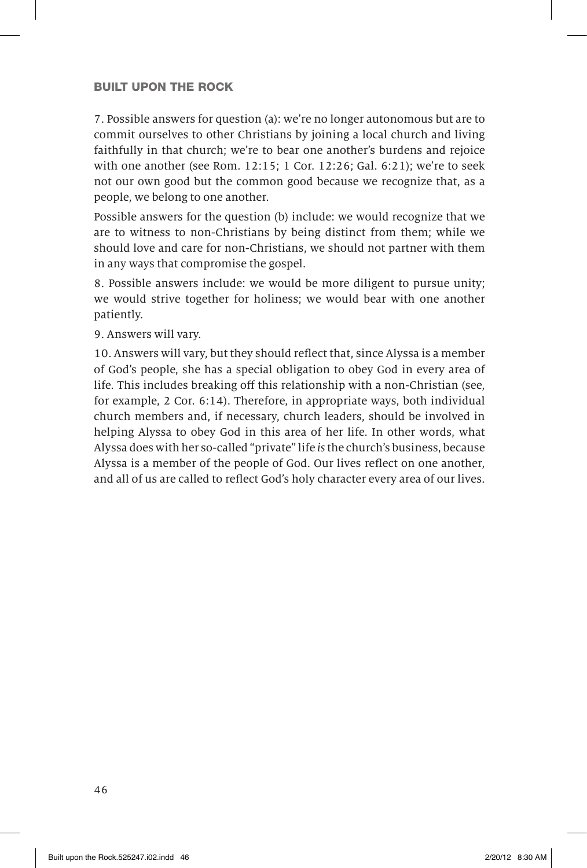7. Possible answers for question (a): we're no longer autonomous but are to commit ourselves to other Christians by joining a local church and living faithfully in that church; we're to bear one another's burdens and rejoice with one another (see Rom. 12:15; 1 Cor. 12:26; Gal. 6:21); we're to seek not our own good but the common good because we recognize that, as a people, we belong to one another.

Possible answers for the question (b) include: we would recognize that we are to witness to non-Christians by being distinct from them; while we should love and care for non-Christians, we should not partner with them in any ways that compromise the gospel.

8. Possible answers include: we would be more diligent to pursue unity; we would strive together for holiness; we would bear with one another patiently.

9. Answers will vary.

10. Answers will vary, but they should reflect that, since Alyssa is a member of God's people, she has a special obligation to obey God in every area of life. This includes breaking off this relationship with a non-Christian (see, for example, 2 Cor. 6:14). Therefore, in appropriate ways, both individual church members and, if necessary, church leaders, should be involved in helping Alyssa to obey God in this area of her life. In other words, what Alyssa does with her so-called "private" life is the church's business, because Alyssa is a member of the people of God. Our lives reflect on one another, and all of us are called to reflect God's holy character every area of our lives.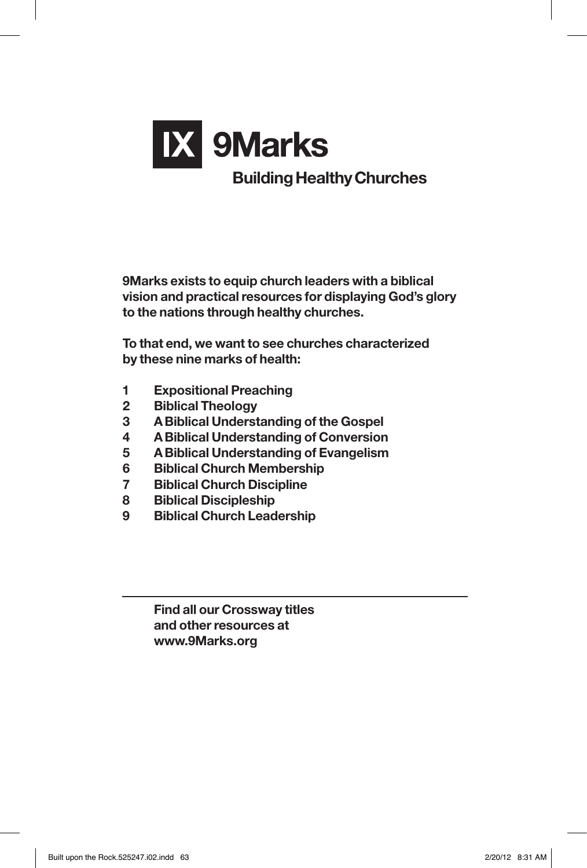

**9Marks exists to equip church leaders with a biblical vision and practicalresources for displaying God's glory to the nations through healthy churches.**

**To that end, we want to see churches characterized by these nine marks of health:**

- **1 Expositional Preaching**
- **2 Biblical Theology**
- **3 ABiblical Understanding of the Gospel**
- **4 ABiblical Understanding of Conversion**
- **5 ABiblical Understanding of Evangelism**
- **6 Biblical Church Membership**
- **7 Biblical Church Discipline**
- **8 Biblical Discipleship**
- **9 Biblical Church Leadership**

**Find all our Crossway titles and otherresources at www.9Marks.org**